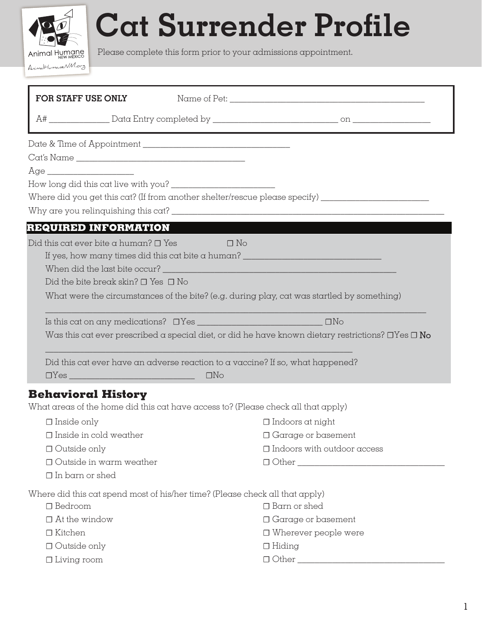

## **Cat Surrender Profile**

Please complete this form prior to your admissions appointment.

| FOR STAFF USE ONLY                                                                |                  |                                                                                                              |
|-----------------------------------------------------------------------------------|------------------|--------------------------------------------------------------------------------------------------------------|
|                                                                                   |                  |                                                                                                              |
|                                                                                   |                  |                                                                                                              |
|                                                                                   |                  |                                                                                                              |
|                                                                                   |                  |                                                                                                              |
|                                                                                   |                  |                                                                                                              |
|                                                                                   |                  | Where did you get this cat? (If from another shelter/rescue please specify)                                  |
|                                                                                   |                  |                                                                                                              |
| REQUIRED INFORMATION                                                              |                  |                                                                                                              |
| Did this cat ever bite a human? $\Box$ Yes                                        | $\Box$ $\Box$ No |                                                                                                              |
|                                                                                   |                  | If yes, how many times did this cat bite a human? ______________________________                             |
|                                                                                   |                  |                                                                                                              |
| Did the bite break skin? $\Box$ Yes $\Box$ No                                     |                  |                                                                                                              |
|                                                                                   |                  | What were the circumstances of the bite? (e.g. during play, cat was startled by something)                   |
|                                                                                   |                  |                                                                                                              |
|                                                                                   |                  | Was this cat ever prescribed a special diet, or did he have known dietary restrictions? $\Box$ Yes $\Box$ No |
|                                                                                   |                  | Did this cat ever have an adverse reaction to a vaccine? If so, what happened?                               |
|                                                                                   | $\Box$ No        |                                                                                                              |
| <b>Behavioral History</b>                                                         |                  |                                                                                                              |
| What areas of the home did this cat have access to? (Please check all that apply) |                  |                                                                                                              |
| $\Box$ Inside only                                                                |                  | $\Box$ Indoors at night                                                                                      |
| $\Box$ Inside in cold weather                                                     |                  | $\Box$ Garage or basement                                                                                    |
| $\Box$ Outside only                                                               |                  | $\Box$ Indoors with outdoor access                                                                           |
| $\Box$ Outside in warm weather                                                    |                  | $\Box$ $\Box$ $\Box$ $\Box$                                                                                  |
| $\Box$ In barn or shed                                                            |                  |                                                                                                              |
| Where did this cat spend most of his/her time? (Please check all that apply)      |                  |                                                                                                              |
| $\Box$ Bedroom                                                                    |                  | $\Box$ Barn or shed                                                                                          |
| $\Box$ At the window                                                              |                  | $\Box$ Garage or basement                                                                                    |
| $\Box$ Kitchen                                                                    |                  | $\Box$ Wherever people were                                                                                  |
| $\Box$ Outside only                                                               |                  | $\Box$ Hiding                                                                                                |
| $\Box$ Living room                                                                |                  |                                                                                                              |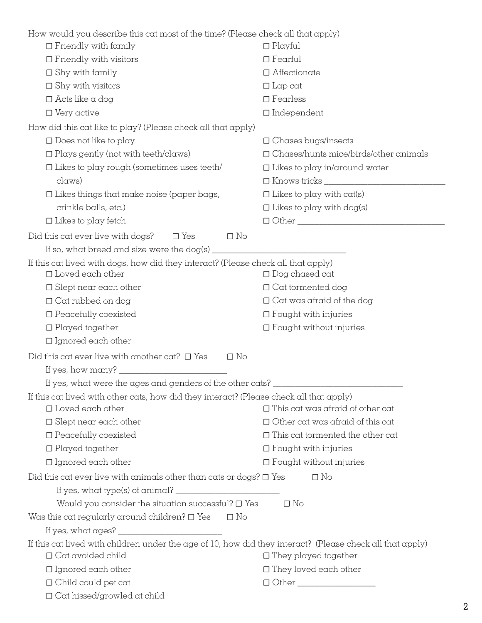| How would you describe this cat most of the time? (Please check all that apply)                           |                                              |  |
|-----------------------------------------------------------------------------------------------------------|----------------------------------------------|--|
| $\Box$ Friendly with family                                                                               | $\Box$ Playful                               |  |
| $\Box$ Friendly with visitors                                                                             | $\Box$ Fearful                               |  |
| $\Box$ Shy with family                                                                                    | $\Box$ Affectionate                          |  |
| $\Box$ Shy with visitors                                                                                  | $\Box$ Lap cat                               |  |
| $\Box$ Acts like a dog                                                                                    | $\Box$ Fearless                              |  |
| $\Box$ Very active                                                                                        | $\Box$ Independent                           |  |
| How did this cat like to play? (Please check all that apply)                                              |                                              |  |
| $\Box$ Does not like to play                                                                              | $\Box$ Chases bugs/insects                   |  |
| $\Box$ Plays gently (not with teeth/claws)                                                                | $\Box$ Chases/hunts mice/birds/other animals |  |
| $\Box$ Likes to play rough (sometimes uses teeth/                                                         | $\Box$ Likes to play in/around water         |  |
| claws)                                                                                                    |                                              |  |
| $\Box$ Likes things that make noise (paper bags,                                                          | $\Box$ Likes to play with cat(s)             |  |
| crinkle balls, etc.)                                                                                      | $\Box$ Likes to play with dog(s)             |  |
| $\Box$ Likes to play fetch                                                                                | □ Other <u>_________________</u>             |  |
| Did this cat ever live with dogs?<br>$\Box$ Yes<br>$\Box$ No                                              |                                              |  |
| If so, what breed and size were the dog(s) $\frac{1}{\frac{1}{2} \cdot 1}$                                |                                              |  |
| If this cat lived with dogs, how did they interact? (Please check all that apply)                         |                                              |  |
| $\Box$ Loved each other                                                                                   | $\Box$ Dog chased cat                        |  |
| $\Box$ Slept near each other                                                                              | $\Box$ Cat tormented dog                     |  |
| $\Box$ Cat rubbed on dog                                                                                  | $\Box$ Cat was afraid of the dog             |  |
| $\Box$ Peacefully coexisted                                                                               | $\Box$ Fought with injuries                  |  |
| $\Box$ Played together                                                                                    | $\Box$ Fought without injuries               |  |
| $\Box$ Ignored each other                                                                                 |                                              |  |
| Did this cat ever live with another cat? $\Box$ Yes<br>$\Box$ No                                          |                                              |  |
|                                                                                                           |                                              |  |
| If yes, what were the ages and genders of the other cats? _                                               |                                              |  |
| If this cat lived with other cats, how did they interact? (Please check all that apply)                   |                                              |  |
| $\Box$ Loved each other                                                                                   | $\Box$ This cat was afraid of other cat      |  |
| $\Box$ Slept near each other                                                                              | $\Box$ Other cat was afraid of this cat      |  |
| $\Box$ Peacefully coexisted                                                                               | $\Box$ This cat tormented the other cat      |  |
| $\Box$ Played together                                                                                    | $\Box$ Fought with injuries                  |  |
| $\Box$ Ignored each other                                                                                 | $\Box$ Fought without injuries               |  |
| Did this cat ever live with animals other than cats or dogs? $\square$ Yes                                | $\Box$ No                                    |  |
| If yes, what type(s) of animal? $\frac{1}{\frac{1}{2} + \frac{1}{2}}$                                     |                                              |  |
| Would you consider the situation successful? $\Box$ Yes                                                   | $\Box$ No                                    |  |
| Was this cat regularly around children? $\square$ Yes<br>$\Box$ No                                        |                                              |  |
|                                                                                                           |                                              |  |
| If this cat lived with children under the age of 10, how did they interact? (Please check all that apply) |                                              |  |
| $\Box$ Cat avoided child                                                                                  | $\Box$ They played together                  |  |
| $\Box$ Ignored each other                                                                                 | $\Box$ They loved each other                 |  |
| $\Box$ Child could pet cat                                                                                |                                              |  |
| $\Box$ Cat hissed/growled at child                                                                        |                                              |  |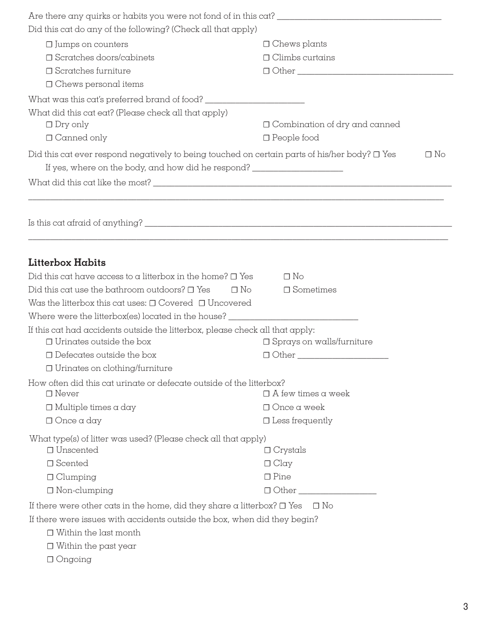| Did this cat do any of the following? (Check all that apply)                                                    |                                                                                                                       |  |  |  |
|-----------------------------------------------------------------------------------------------------------------|-----------------------------------------------------------------------------------------------------------------------|--|--|--|
| $\Box$ Jumps on counters                                                                                        | $\Box$ Chews plants                                                                                                   |  |  |  |
| $\Box$ Scratches doors/cabinets                                                                                 | $\Box$ Climbs curtains                                                                                                |  |  |  |
| $\Box$ Scratches furniture                                                                                      |                                                                                                                       |  |  |  |
| $\Box$ Chews personal items                                                                                     |                                                                                                                       |  |  |  |
|                                                                                                                 |                                                                                                                       |  |  |  |
| What did this cat eat? (Please check all that apply)                                                            |                                                                                                                       |  |  |  |
| $\Box$ Dry only                                                                                                 | $\Box$ Combination of dry and canned                                                                                  |  |  |  |
| $\Box$ Canned only                                                                                              | $\Box$ People food                                                                                                    |  |  |  |
| Did this cat ever respond negatively to being touched on certain parts of his/her body? $\Box$ Yes<br>$\Box$ No |                                                                                                                       |  |  |  |
| If yes, where on the body, and how did he respond? _____________________________                                |                                                                                                                       |  |  |  |
|                                                                                                                 |                                                                                                                       |  |  |  |
|                                                                                                                 |                                                                                                                       |  |  |  |
|                                                                                                                 | <u> 1989 - Johann Stoff, deutscher Stoff, der Stoff, der Stoff, der Stoff, der Stoff, der Stoff, der Stoff, der S</u> |  |  |  |
| <b>Litterbox Habits</b>                                                                                         |                                                                                                                       |  |  |  |
| Did this cat have access to a litterbox in the home? $\square$ Yes                                              | $\Box$ No                                                                                                             |  |  |  |
| Did this cat use the bathroom outdoors? $\square$ Yes<br>$\Box$ No                                              | $\Box$ Sometimes                                                                                                      |  |  |  |
| Was the litterbox this cat uses: $\Box$ Covered $\Box$ Uncovered                                                |                                                                                                                       |  |  |  |
| Where were the litterbox(es) located in the house? ___________                                                  |                                                                                                                       |  |  |  |
| If this cat had accidents outside the litterbox, please check all that apply:                                   |                                                                                                                       |  |  |  |
| $\Box$ Urinates outside the box                                                                                 | $\Box$ Sprays on walls/furniture                                                                                      |  |  |  |
| $\Box$ Defecates outside the box                                                                                |                                                                                                                       |  |  |  |
| $\Box$ Urinates on clothing/furniture                                                                           |                                                                                                                       |  |  |  |
| How often did this cat urinate or defecate outside of the litterbox?<br>$\Box$ Never                            | $\Box$ A few times a week                                                                                             |  |  |  |
| $\Box$ Multiple times a day                                                                                     | $\Box$ Once a week                                                                                                    |  |  |  |
| $\Box$ Once a day                                                                                               | $\Box$ Less frequently                                                                                                |  |  |  |
|                                                                                                                 |                                                                                                                       |  |  |  |
| What type(s) of litter was used? (Please check all that apply)                                                  |                                                                                                                       |  |  |  |
| $\Box$ Unscented                                                                                                | $\Box$ Crystals                                                                                                       |  |  |  |
| □ Scented                                                                                                       | $\Box$ Clay                                                                                                           |  |  |  |
| $\Box$ Clumping                                                                                                 | $\Box$ Pine                                                                                                           |  |  |  |
| $\Box$ Non-clumping                                                                                             | 0 Other                                                                                                               |  |  |  |
| If there were other cats in the home, did they share a litterbox? $\Box$ Yes                                    | ⊟ No                                                                                                                  |  |  |  |
| If there were issues with accidents outside the box, when did they begin?                                       |                                                                                                                       |  |  |  |
| $\Box$ Within the last month                                                                                    |                                                                                                                       |  |  |  |
| $\Box$ Within the past year                                                                                     |                                                                                                                       |  |  |  |
| $\Box$ Ongoing                                                                                                  |                                                                                                                       |  |  |  |